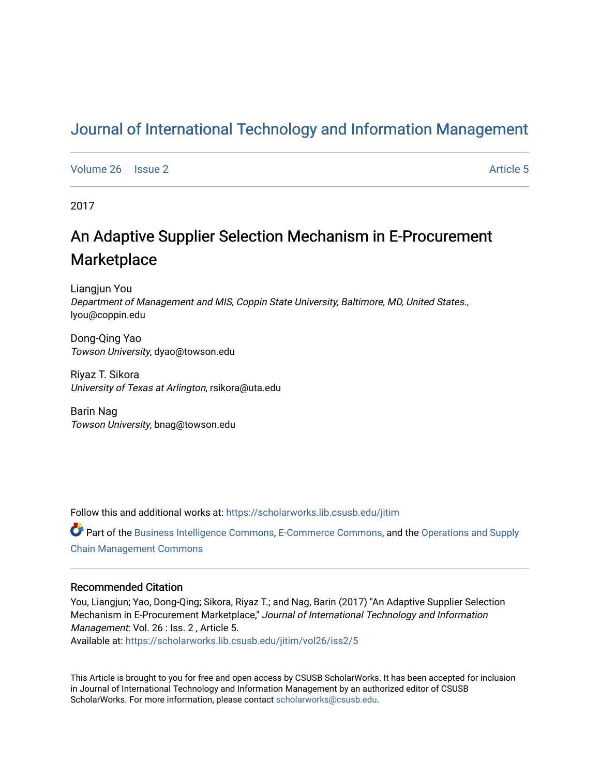## [Journal of International Technology and Information Management](https://scholarworks.lib.csusb.edu/jitim)

[Volume 26](https://scholarworks.lib.csusb.edu/jitim/vol26) | [Issue 2](https://scholarworks.lib.csusb.edu/jitim/vol26/iss2) Article 5

2017

# An Adaptive Supplier Selection Mechanism in E-Procurement **Marketplace**

Liangjun You Department of Management and MIS, Coppin State University, Baltimore, MD, United States., lyou@coppin.edu

Dong-Qing Yao Towson University, dyao@towson.edu

Riyaz T. Sikora University of Texas at Arlington, rsikora@uta.edu

Barin Nag Towson University, bnag@towson.edu

Follow this and additional works at: [https://scholarworks.lib.csusb.edu/jitim](https://scholarworks.lib.csusb.edu/jitim?utm_source=scholarworks.lib.csusb.edu%2Fjitim%2Fvol26%2Fiss2%2F5&utm_medium=PDF&utm_campaign=PDFCoverPages) 

Part of the [Business Intelligence Commons,](http://network.bepress.com/hgg/discipline/1326?utm_source=scholarworks.lib.csusb.edu%2Fjitim%2Fvol26%2Fiss2%2F5&utm_medium=PDF&utm_campaign=PDFCoverPages) [E-Commerce Commons](http://network.bepress.com/hgg/discipline/624?utm_source=scholarworks.lib.csusb.edu%2Fjitim%2Fvol26%2Fiss2%2F5&utm_medium=PDF&utm_campaign=PDFCoverPages), and the [Operations and Supply](http://network.bepress.com/hgg/discipline/1229?utm_source=scholarworks.lib.csusb.edu%2Fjitim%2Fvol26%2Fiss2%2F5&utm_medium=PDF&utm_campaign=PDFCoverPages)  [Chain Management Commons](http://network.bepress.com/hgg/discipline/1229?utm_source=scholarworks.lib.csusb.edu%2Fjitim%2Fvol26%2Fiss2%2F5&utm_medium=PDF&utm_campaign=PDFCoverPages)

#### Recommended Citation

You, Liangjun; Yao, Dong-Qing; Sikora, Riyaz T.; and Nag, Barin (2017) "An Adaptive Supplier Selection Mechanism in E-Procurement Marketplace," Journal of International Technology and Information Management: Vol. 26 : Iss. 2 , Article 5.

Available at: [https://scholarworks.lib.csusb.edu/jitim/vol26/iss2/5](https://scholarworks.lib.csusb.edu/jitim/vol26/iss2/5?utm_source=scholarworks.lib.csusb.edu%2Fjitim%2Fvol26%2Fiss2%2F5&utm_medium=PDF&utm_campaign=PDFCoverPages) 

This Article is brought to you for free and open access by CSUSB ScholarWorks. It has been accepted for inclusion in Journal of International Technology and Information Management by an authorized editor of CSUSB ScholarWorks. For more information, please contact [scholarworks@csusb.edu.](mailto:scholarworks@csusb.edu)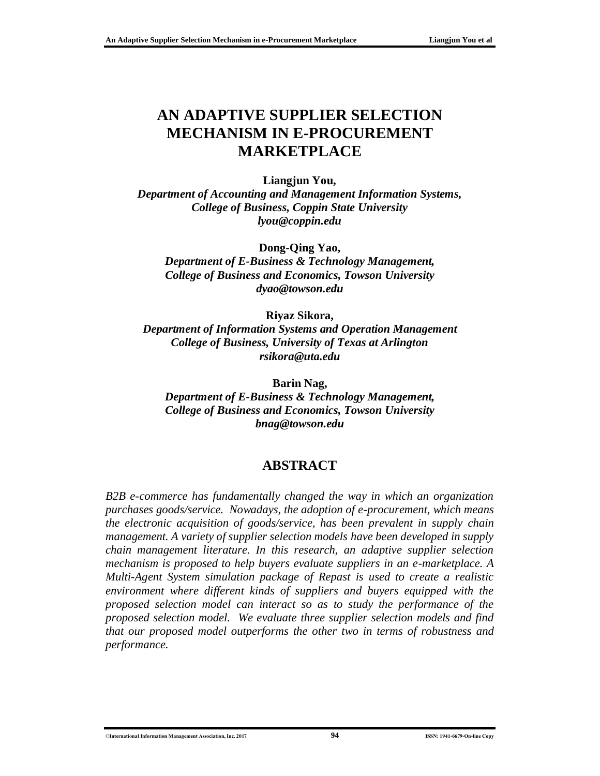## **AN ADAPTIVE SUPPLIER SELECTION MECHANISM IN E-PROCUREMENT MARKETPLACE**

#### **Liangjun You,**

*Department of Accounting and Management Information Systems, College of Business, Coppin State University lyou@coppin.edu*

**Dong-Qing Yao,** *Department of E-Business & Technology Management, College of Business and Economics, Towson University [dyao@towson.edu](mailto:dyao@towson.edu)*

**Riyaz Sikora,**

*Department of Information Systems and Operation Management College of Business, University of Texas at Arlington [rsikora@uta.edu](mailto:rsikora@uta.edu)*

**Barin Nag,** *Department of E-Business & Technology Management, College of Business and Economics, Towson University bnag@towson.edu*

### **ABSTRACT**

*B2B e-commerce has fundamentally changed the way in which an organization purchases goods/service. Nowadays, the adoption of e-procurement, which means the electronic acquisition of goods/service, has been prevalent in supply chain management. A variety of supplier selection models have been developed in supply chain management literature. In this research, an adaptive supplier selection mechanism is proposed to help buyers evaluate suppliers in an e-marketplace. A Multi-Agent System simulation package of Repast is used to create a realistic environment where different kinds of suppliers and buyers equipped with the proposed selection model can interact so as to study the performance of the proposed selection model. We evaluate three supplier selection models and find that our proposed model outperforms the other two in terms of robustness and performance.*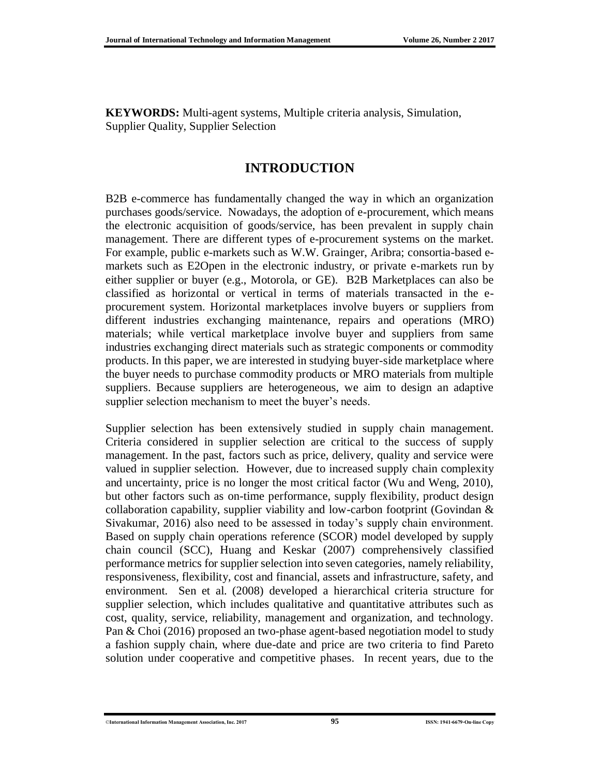**KEYWORDS:** Multi-agent systems, Multiple criteria analysis, Simulation, Supplier Quality, Supplier Selection

## **INTRODUCTION**

B2B e-commerce has fundamentally changed the way in which an organization purchases goods/service. Nowadays, the adoption of e-procurement, which means the electronic acquisition of goods/service, has been prevalent in supply chain management. There are different types of e-procurement systems on the market. For example, public e-markets such as W.W. Grainger, Aribra; consortia-based emarkets such as E2Open in the electronic industry, or private e-markets run by either supplier or buyer (e.g., Motorola, or GE). B2B Marketplaces can also be classified as horizontal or vertical in terms of materials transacted in the eprocurement system. Horizontal marketplaces involve buyers or suppliers from different industries exchanging maintenance, repairs and operations (MRO) materials; while vertical marketplace involve buyer and suppliers from same industries exchanging direct materials such as strategic components or commodity products. In this paper, we are interested in studying buyer-side marketplace where the buyer needs to purchase commodity products or MRO materials from multiple suppliers. Because suppliers are heterogeneous, we aim to design an adaptive supplier selection mechanism to meet the buyer's needs.

Supplier selection has been extensively studied in supply chain management. Criteria considered in supplier selection are critical to the success of supply management. In the past, factors such as price, delivery, quality and service were valued in supplier selection. However, due to increased supply chain complexity and uncertainty, price is no longer the most critical factor (Wu and Weng, 2010), but other factors such as on-time performance, supply flexibility, product design collaboration capability, supplier viability and low-carbon footprint (Govindan & Sivakumar, 2016) also need to be assessed in today's supply chain environment. Based on supply chain operations reference (SCOR) model developed by supply chain council (SCC), Huang and Keskar (2007) comprehensively classified performance metrics for supplier selection into seven categories, namely reliability, responsiveness, flexibility, cost and financial, assets and infrastructure, safety, and environment. Sen et al. (2008) developed a hierarchical criteria structure for supplier selection, which includes qualitative and quantitative attributes such as cost, quality, service, reliability, management and organization, and technology. Pan & Choi (2016) proposed an two-phase agent-based negotiation model to study a fashion supply chain, where due-date and price are two criteria to find Pareto solution under cooperative and competitive phases. In recent years, due to the

<sup>©</sup>**International Information Management Association, Inc. 2017 95 ISSN: 1941-6679-On-line Copy**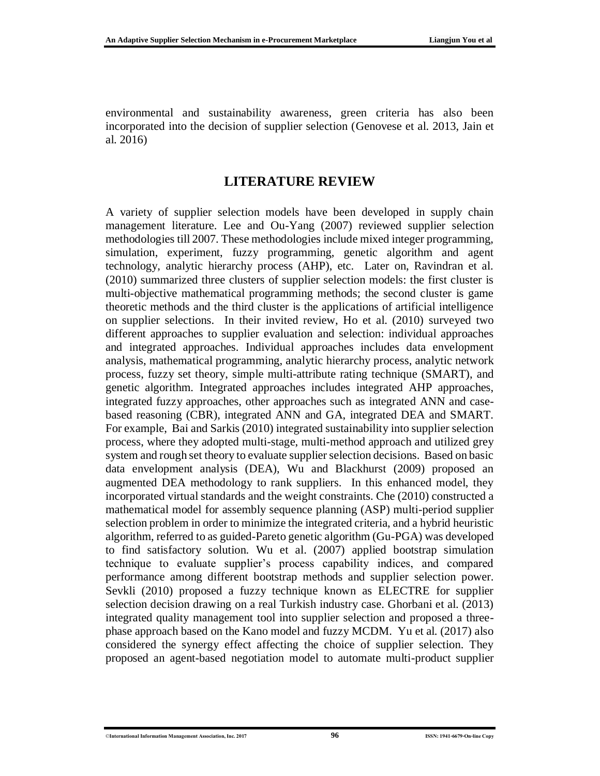environmental and sustainability awareness, green criteria has also been incorporated into the decision of supplier selection (Genovese et al. 2013, Jain et al. 2016)

#### **LITERATURE REVIEW**

A variety of supplier selection models have been developed in supply chain management literature. Lee and Ou-Yang (2007) reviewed supplier selection methodologies till 2007. These methodologies include mixed integer programming, simulation, experiment, fuzzy programming, genetic algorithm and agent technology, analytic hierarchy process (AHP), etc. Later on, Ravindran et al. (2010) summarized three clusters of supplier selection models: the first cluster is multi-objective mathematical programming methods; the second cluster is game theoretic methods and the third cluster is the applications of artificial intelligence on supplier selections. In their invited review, Ho et al. (2010) surveyed two different approaches to supplier evaluation and selection: individual approaches and integrated approaches. Individual approaches includes data envelopment analysis, mathematical programming, analytic hierarchy process, analytic network process, fuzzy set theory, simple multi-attribute rating technique (SMART), and genetic algorithm. Integrated approaches includes integrated AHP approaches, integrated fuzzy approaches, other approaches such as integrated ANN and casebased reasoning (CBR), integrated ANN and GA, integrated DEA and SMART. For example, Bai and Sarkis (2010) integrated sustainability into supplier selection process, where they adopted multi-stage, multi-method approach and utilized grey system and rough set theory to evaluate supplier selection decisions. Based on basic data envelopment analysis (DEA), Wu and Blackhurst (2009) proposed an augmented DEA methodology to rank suppliers. In this enhanced model, they incorporated virtual standards and the weight constraints. Che (2010) constructed a mathematical model for assembly sequence planning (ASP) multi-period supplier selection problem in order to minimize the integrated criteria, and a hybrid heuristic algorithm, referred to as guided-Pareto genetic algorithm (Gu-PGA) was developed to find satisfactory solution. Wu et al. (2007) applied bootstrap simulation technique to evaluate supplier's process capability indices, and compared performance among different bootstrap methods and supplier selection power. Sevkli (2010) proposed a fuzzy technique known as ELECTRE for supplier selection decision drawing on a real Turkish industry case. Ghorbani et al. (2013) integrated quality management tool into supplier selection and proposed a threephase approach based on the Kano model and fuzzy MCDM. Yu et al. (2017) also considered the synergy effect affecting the choice of supplier selection. They proposed an agent-based negotiation model to automate multi-product supplier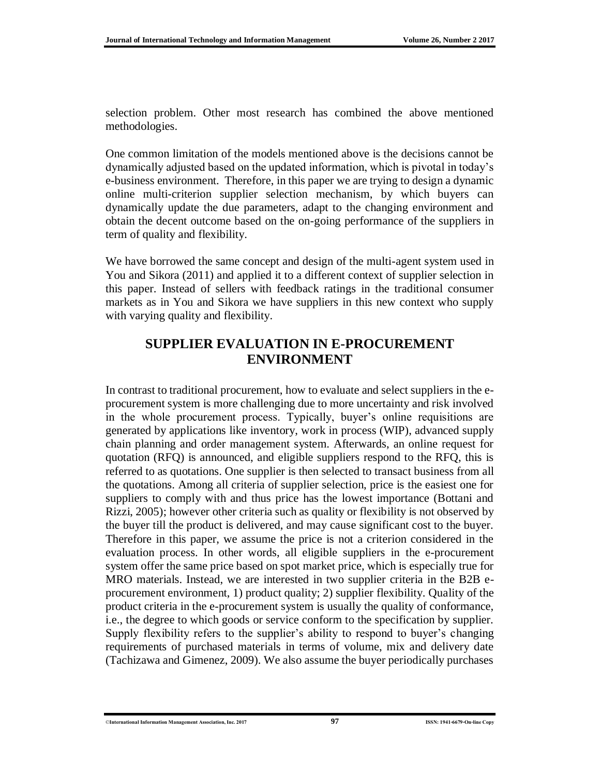selection problem. Other most research has combined the above mentioned methodologies.

One common limitation of the models mentioned above is the decisions cannot be dynamically adjusted based on the updated information, which is pivotal in today's e-business environment. Therefore, in this paper we are trying to design a dynamic online multi-criterion supplier selection mechanism, by which buyers can dynamically update the due parameters, adapt to the changing environment and obtain the decent outcome based on the on-going performance of the suppliers in term of quality and flexibility.

We have borrowed the same concept and design of the multi-agent system used in You and Sikora (2011) and applied it to a different context of supplier selection in this paper. Instead of sellers with feedback ratings in the traditional consumer markets as in You and Sikora we have suppliers in this new context who supply with varying quality and flexibility.

#### **SUPPLIER EVALUATION IN E-PROCUREMENT ENVIRONMENT**

In contrast to traditional procurement, how to evaluate and select suppliers in the eprocurement system is more challenging due to more uncertainty and risk involved in the whole procurement process. Typically, buyer's online requisitions are generated by applications like inventory, work in process (WIP), advanced supply chain planning and order management system. Afterwards, an online request for quotation (RFQ) is announced, and eligible suppliers respond to the RFQ, this is referred to as quotations. One supplier is then selected to transact business from all the quotations. Among all criteria of supplier selection, price is the easiest one for suppliers to comply with and thus price has the lowest importance (Bottani and Rizzi, 2005); however other criteria such as quality or flexibility is not observed by the buyer till the product is delivered, and may cause significant cost to the buyer. Therefore in this paper, we assume the price is not a criterion considered in the evaluation process. In other words, all eligible suppliers in the e-procurement system offer the same price based on spot market price, which is especially true for MRO materials. Instead, we are interested in two supplier criteria in the B2B eprocurement environment, 1) product quality; 2) supplier flexibility. Quality of the product criteria in the e-procurement system is usually the quality of conformance, i.e., the degree to which goods or service conform to the specification by supplier. Supply flexibility refers to the supplier's ability to respond to buyer's changing requirements of purchased materials in terms of volume, mix and delivery date (Tachizawa and Gimenez, 2009). We also assume the buyer periodically purchases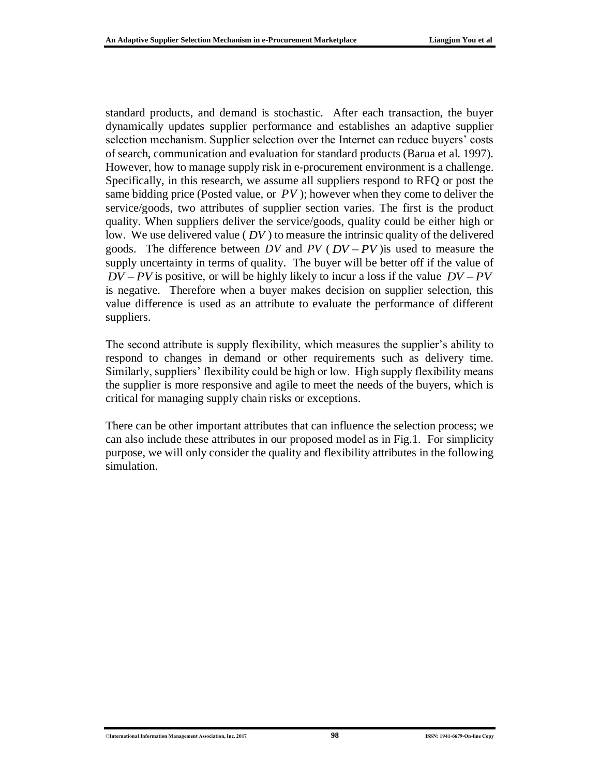standard products, and demand is stochastic. After each transaction, the buyer dynamically updates supplier performance and establishes an adaptive supplier selection mechanism. Supplier selection over the Internet can reduce buyers' costs of search, communication and evaluation for standard products (Barua et al. 1997). However, how to manage supply risk in e-procurement environment is a challenge. Specifically, in this research, we assume all suppliers respond to RFQ or post the same bidding price (Posted value, or *PV* ); however when they come to deliver the service/goods, two attributes of supplier section varies. The first is the product quality. When suppliers deliver the service/goods, quality could be either high or low. We use delivered value ( *DV* ) to measure the intrinsic quality of the delivered goods. The difference between  $DV$  and  $PV$  ( $DV - PV$ ) is used to measure the supply uncertainty in terms of quality. The buyer will be better off if the value of  $DV - PV$  is positive, or will be highly likely to incur a loss if the value  $DV - PV$ is negative. Therefore when a buyer makes decision on supplier selection, this value difference is used as an attribute to evaluate the performance of different suppliers.

The second attribute is supply flexibility, which measures the supplier's ability to respond to changes in demand or other requirements such as delivery time. Similarly, suppliers' flexibility could be high or low. High supply flexibility means the supplier is more responsive and agile to meet the needs of the buyers, which is critical for managing supply chain risks or exceptions.

There can be other important attributes that can influence the selection process; we can also include these attributes in our proposed model as in Fig.1. For simplicity purpose, we will only consider the quality and flexibility attributes in the following simulation.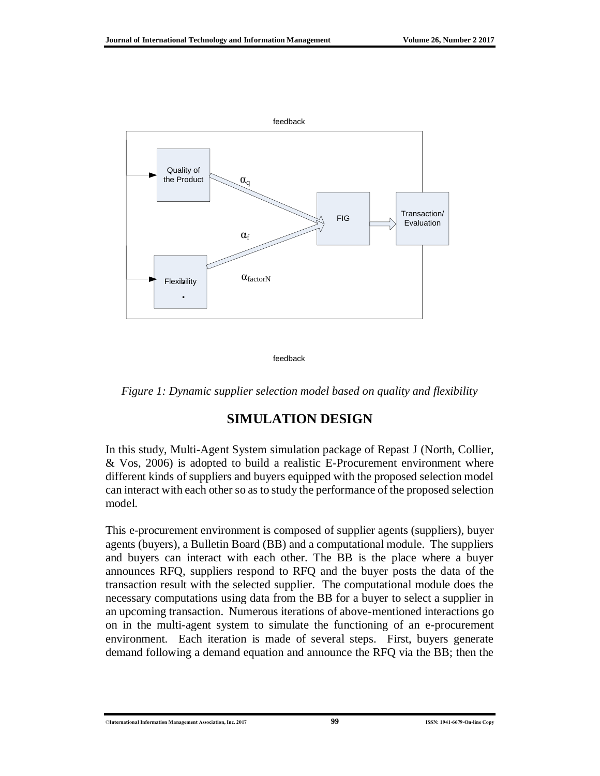

feedback

*Figure 1: Dynamic supplier selection model based on quality and flexibility*

### **SIMULATION DESIGN**

In this study, Multi-Agent System simulation package of Repast J (North, Collier, & Vos, 2006) is adopted to build a realistic E-Procurement environment where different kinds of suppliers and buyers equipped with the proposed selection model can interact with each other so as to study the performance of the proposed selection model.

This e-procurement environment is composed of supplier agents (suppliers), buyer agents (buyers), a Bulletin Board (BB) and a computational module. The suppliers and buyers can interact with each other. The BB is the place where a buyer announces RFQ, suppliers respond to RFQ and the buyer posts the data of the transaction result with the selected supplier. The computational module does the necessary computations using data from the BB for a buyer to select a supplier in an upcoming transaction. Numerous iterations of above-mentioned interactions go on in the multi-agent system to simulate the functioning of an e-procurement environment. Each iteration is made of several steps. First, buyers generate demand following a demand equation and announce the RFQ via the BB; then the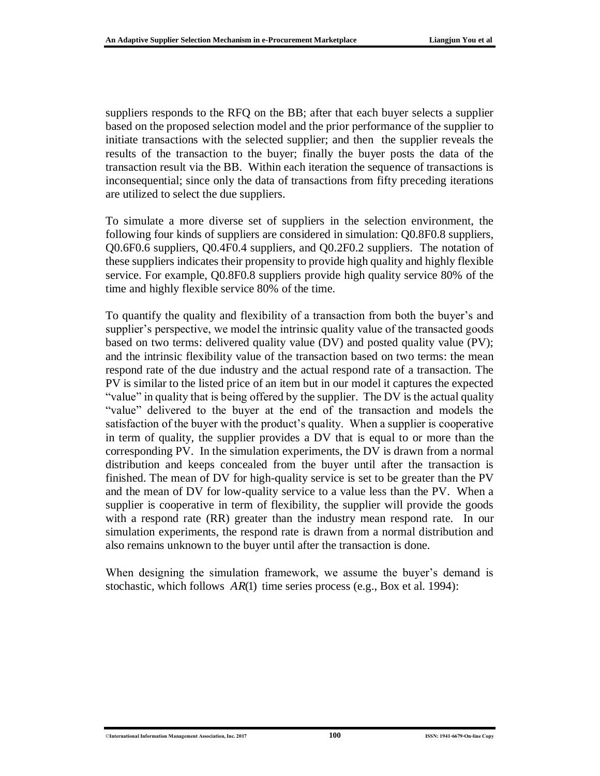suppliers responds to the RFQ on the BB; after that each buyer selects a supplier based on the proposed selection model and the prior performance of the supplier to initiate transactions with the selected supplier; and then the supplier reveals the results of the transaction to the buyer; finally the buyer posts the data of the transaction result via the BB. Within each iteration the sequence of transactions is inconsequential; since only the data of transactions from fifty preceding iterations are utilized to select the due suppliers.

To simulate a more diverse set of suppliers in the selection environment, the following four kinds of suppliers are considered in simulation: Q0.8F0.8 suppliers, Q0.6F0.6 suppliers, Q0.4F0.4 suppliers, and Q0.2F0.2 suppliers. The notation of these suppliers indicates their propensity to provide high quality and highly flexible service. For example, Q0.8F0.8 suppliers provide high quality service 80% of the time and highly flexible service 80% of the time.

To quantify the quality and flexibility of a transaction from both the buyer's and supplier's perspective, we model the intrinsic quality value of the transacted goods based on two terms: delivered quality value (DV) and posted quality value (PV); and the intrinsic flexibility value of the transaction based on two terms: the mean respond rate of the due industry and the actual respond rate of a transaction. The PV is similar to the listed price of an item but in our model it captures the expected "value" in quality that is being offered by the supplier. The DV is the actual quality "value" delivered to the buyer at the end of the transaction and models the satisfaction of the buyer with the product's quality. When a supplier is cooperative in term of quality, the supplier provides a DV that is equal to or more than the corresponding PV. In the simulation experiments, the DV is drawn from a normal distribution and keeps concealed from the buyer until after the transaction is finished. The mean of DV for high-quality service is set to be greater than the PV and the mean of DV for low-quality service to a value less than the PV. When a supplier is cooperative in term of flexibility, the supplier will provide the goods with a respond rate (RR) greater than the industry mean respond rate. In our simulation experiments, the respond rate is drawn from a normal distribution and also remains unknown to the buyer until after the transaction is done.

When designing the simulation framework, we assume the buyer's demand is stochastic, which follows  $AR(1)$  time series process (e.g., Box et al. 1994):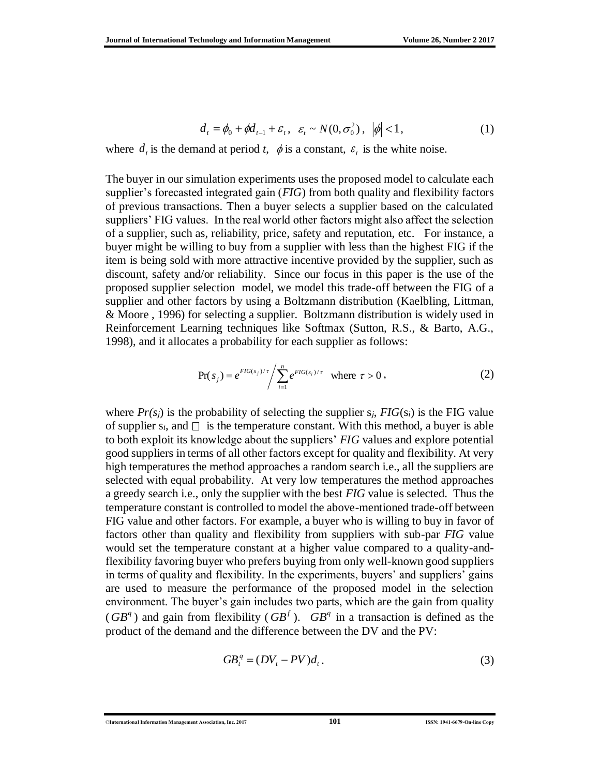$$
d_t = \phi_0 + \phi d_{t-1} + \varepsilon_t, \quad \varepsilon_t \sim N(0, \sigma_0^2), \quad |\phi| < 1,\tag{1}
$$

where  $d_i$  is the demand at period *t*,  $\phi$  is a constant,  $\varepsilon_i$  is the white noise.

The buyer in our simulation experiments uses the proposed model to calculate each supplier's forecasted integrated gain (*FIG*) from both quality and flexibility factors of previous transactions. Then a buyer selects a supplier based on the calculated suppliers' FIG values. In the real world other factors might also affect the selection of a supplier, such as, reliability, price, safety and reputation, etc. For instance, a buyer might be willing to buy from a supplier with less than the highest FIG if the item is being sold with more attractive incentive provided by the supplier, such as discount, safety and/or reliability. Since our focus in this paper is the use of the proposed supplier selection model, we model this trade-off between the FIG of a supplier and other factors by using a Boltzmann distribution (Kaelbling, Littman, & Moore , 1996) for selecting a supplier. Boltzmann distribution is widely used in Reinforcement Learning techniques like Softmax (Sutton, R.S., & Barto, A.G., 1998), and it allocates a probability for each supplier as follows:

$$
\Pr(s_j) = e^{FIG(s_j)/\tau} / \sum_{i=1}^{n} e^{FIG(s_i)/\tau} \quad \text{where } \tau > 0,
$$
\n(2)

where  $Pr(s_i)$  is the probability of selecting the supplier  $s_i$ ,  $FIG(s_i)$  is the FIG value of supplier  $s_i$ , and  $\Box$  is the temperature constant. With this method, a buyer is able to both exploit its knowledge about the suppliers' *FIG* values and explore potential good suppliers in terms of all other factors except for quality and flexibility. At very high temperatures the method approaches a random search i.e., all the suppliers are selected with equal probability. At very low temperatures the method approaches a greedy search i.e., only the supplier with the best *FIG* value is selected. Thus the temperature constant is controlled to model the above-mentioned trade-off between FIG value and other factors. For example, a buyer who is willing to buy in favor of factors other than quality and flexibility from suppliers with sub-par *FIG* value would set the temperature constant at a higher value compared to a quality-andflexibility favoring buyer who prefers buying from only well-known good suppliers in terms of quality and flexibility. In the experiments, buyers' and suppliers' gains are used to measure the performance of the proposed model in the selection environment. The buyer's gain includes two parts, which are the gain from quality ( $GB^q$ ) and gain from flexibility ( $GB^f$ ).  $GB^q$  in a transaction is defined as the product of the demand and the difference between the DV and the PV:

$$
GB_t^q = (DV_t - PV)d_t.
$$
\n<sup>(3)</sup>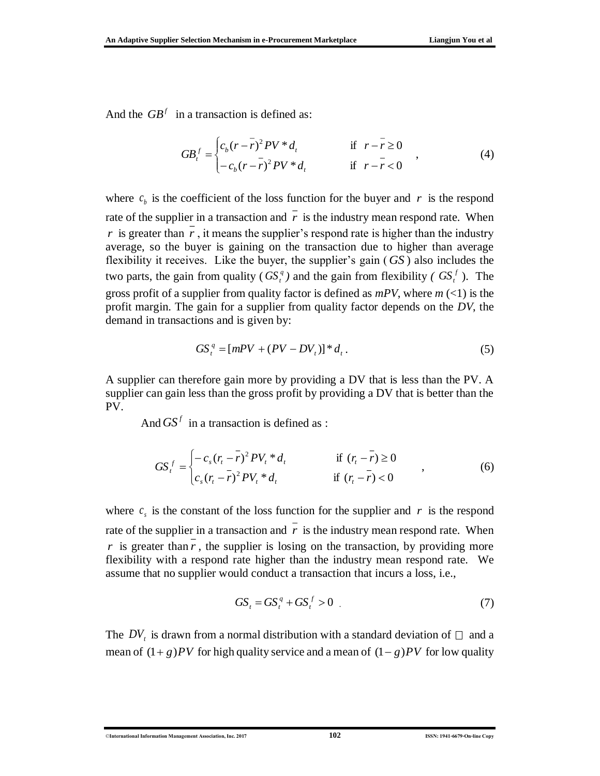And the  $GB<sup>f</sup>$  in a transaction is defined as:

$$
GB_t^f = \begin{cases} c_b(r - \bar{r})^2 PV * d_t & \text{if } r - \bar{r} \ge 0 \\ -c_b(r - \bar{r})^2 PV * d_t & \text{if } r - \bar{r} < 0 \end{cases}
$$
 (4)

where  $c<sub>b</sub>$  is the coefficient of the loss function for the buyer and  $r$  is the respond rate of the supplier in a transaction and  $r$  is the industry mean respond rate. When  $r$  is greater than  $r$ , it means the supplier's respond rate is higher than the industry average, so the buyer is gaining on the transaction due to higher than average flexibility it receives. Like the buyer, the supplier's gain ( *GS* ) also includes the two parts, the gain from quality  $(GS_t^q)$  and the gain from flexibility  $(GS_t^f)$ . The gross profit of a supplier from quality factor is defined as  $mPV$ , where  $m \ll 1$ ) is the profit margin. The gain for a supplier from quality factor depends on the *DV*, the demand in transactions and is given by:

$$
GS_t^q = [mPV + (PV - DV_t)]^* d_t.
$$
 (5)

A supplier can therefore gain more by providing a DV that is less than the PV. A supplier can gain less than the gross profit by providing a DV that is better than the PV.

And  $GS<sup>f</sup>$  in a transaction is defined as :

$$
GS_t^f = \begin{cases} -c_s (r_t - \bar{r})^2 P V_t * d_t & \text{if } (r_t - \bar{r}) \ge 0 \\ -\bar{c}_s (r_t - \bar{r})^2 P V_t * d_t & \text{if } (r_t - \bar{r}) < 0 \end{cases}
$$
(6)

where  $c_s$  is the constant of the loss function for the supplier and r is the respond rate of the supplier in a transaction and  $r$  is the industry mean respond rate. When *r* is greater than *r*, the supplier is losing on the transaction, by providing more flexibility with a respond rate higher than the industry mean respond rate. We assume that no supplier would conduct a transaction that incurs a loss, i.e.,

$$
GS_t = GS_t^q + GS_t^f > 0
$$
\n<sup>(7)</sup>

The  $DV_t$  is drawn from a normal distribution with a standard deviation of  $\Box$  and a mean of  $(1+g)PV$  for high quality service and a mean of  $(1-g)PV$  for low quality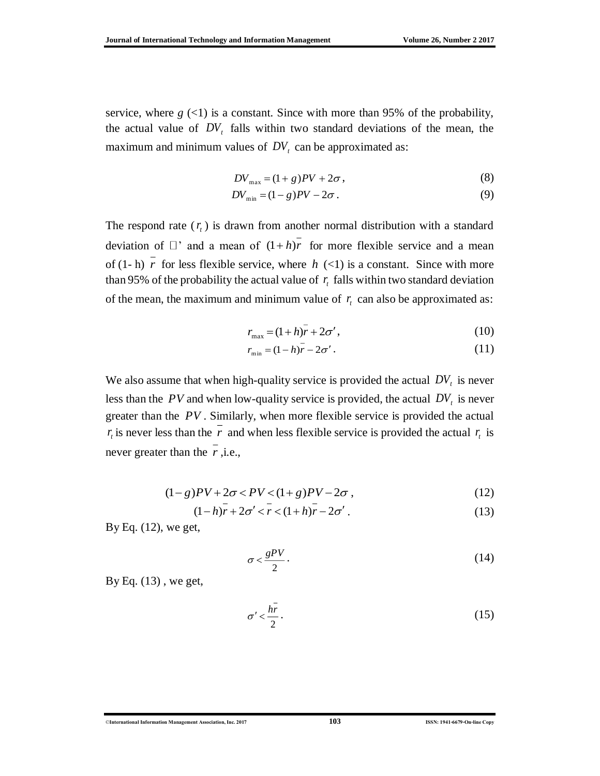service, where  $g$  (<1) is a constant. Since with more than 95% of the probability, the actual value of  $DV_t$  falls within two standard deviations of the mean, the maximum and minimum values of  $DV_t$  can be approximated as:

$$
DV_{\text{max}} = (1+g)PV + 2\sigma\,,\tag{8}
$$

$$
DV_{\min} = (1 - g)PV - 2\sigma.
$$
 (9)

The respond rate  $(r<sub>t</sub>)$  is drawn from another normal distribution with a standard deviation of  $\Box$  and a mean of  $(1+h)r$  for more flexible service and a mean of  $(1-h)$  *r* for less flexible service, where  $h$   $(\leq 1)$  is a constant. Since with more than 95% of the probability the actual value of  $r<sub>t</sub>$  falls within two standard deviation of the mean, the maximum and minimum value of  $r<sub>i</sub>$  can also be approximated as:

$$
r_{\text{max}} = (1 + h)\overline{r} + 2\sigma',\tag{10}
$$

$$
r_{\min} = (1 - h)\overline{r} - 2\sigma' \,. \tag{11}
$$

We also assume that when high-quality service is provided the actual  $DV<sub>t</sub>$  is never less than the  $PV$  and when low-quality service is provided, the actual  $DV<sub>t</sub>$  is never greater than the *PV* . Similarly, when more flexible service is provided the actual  $r_t$  is never less than the r and when less flexible service is provided the actual  $r_t$  is never greater than the *r* ,i.e.,

$$
(1-g)PV + 2\sigma < PV < (1+g)PV - 2\sigma \,,\tag{12}
$$

$$
(1-h)r + 2\sigma' < r < (1+h)r - 2\sigma' \tag{13}
$$

By Eq. (12), we get,

$$
\sigma < \frac{gPV}{2} \tag{14}
$$

By Eq. (13) , we get,

$$
\sigma' < \frac{h\bar{r}}{2} \tag{15}
$$

©**International Information Management Association, Inc. 2017 103 ISSN: 1941-6679-On-line Copy**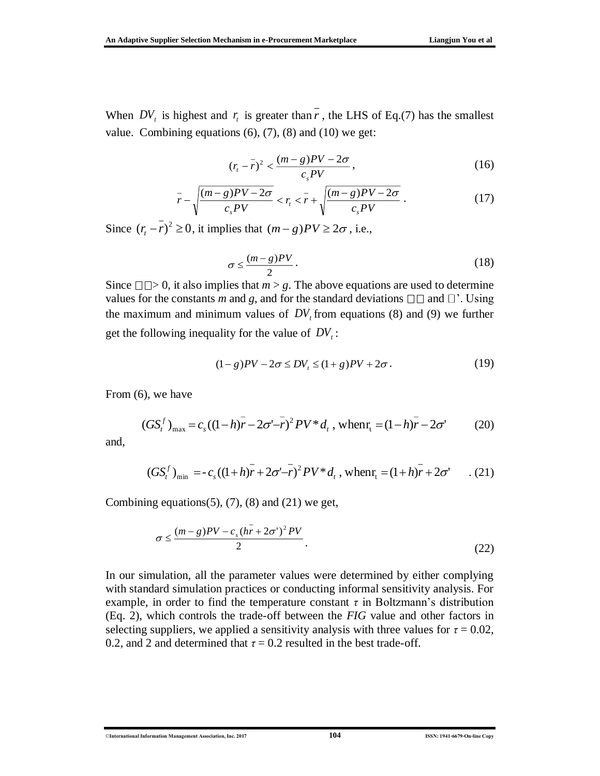When  $DV_t$  is highest and  $r_t$  is greater than r, the LHS of Eq.(7) has the smallest value. Combining equations  $(6)$ ,  $(7)$ ,  $(8)$  and  $(10)$  we get:

$$
(rt - \bar{r})^2 < \frac{(m - g)PV - 2\sigma}{c_s PV},\tag{16}
$$

$$
\frac{1}{r} - \sqrt{\frac{(m-g)PV - 2\sigma}{c_s PV}} < r_t < \frac{1}{r} + \sqrt{\frac{(m-g)PV - 2\sigma}{c_s PV}} \,. \tag{17}
$$

Since  $(r<sub>i</sub> - r)<sup>2</sup> \ge 0$ , it implies that  $(m - g)PV \ge 2\sigma$ , i.e.,

$$
\sigma \le \frac{(m-g)PV}{2} \,. \tag{18}
$$

Since  $\Box \Box > 0$ , it also implies that  $m > g$ . The above equations are used to determine values for the constants *m* and *g*, and for the standard deviations  $\Box \Box$  and  $\Box'$ . Using the maximum and minimum values of  $DV<sub>t</sub>$  from equations (8) and (9) we further get the following inequality for the value of  $DV_t$ :

$$
(1-g)PV - 2\sigma \le DV_t \le (1+g)PV + 2\sigma. \tag{19}
$$

From (6), we have

$$
(GStf)max = cs ((1-h)\overline{r} - 2\sigma' - \overline{r})^2 PV * dt, when rt = (1-h)\overline{r} - 2\sigma'
$$
 (20)

and,

$$
(GStf)min = -cs((1+h)\overline{r} + 2\sigma'-\overline{r})^2 PV * dt, when rt = (1+h)\overline{r} + 2\sigma' \qquad . (21)
$$

Combining equations $(5)$ ,  $(7)$ ,  $(8)$  and  $(21)$  we get,

$$
\sigma \le \frac{(m-g)PV - c_s(h\bar{r} + 2\sigma')^2 PV}{2}.
$$
\n(22)

In our simulation, all the parameter values were determined by either complying with standard simulation practices or conducting informal sensitivity analysis. For example, in order to find the temperature constant  $\tau$  in Boltzmann's distribution (Eq. 2), which controls the trade-off between the *FIG* value and other factors in selecting suppliers, we applied a sensitivity analysis with three values for  $\tau = 0.02$ , 0.2, and 2 and determined that  $\tau = 0.2$  resulted in the best trade-off.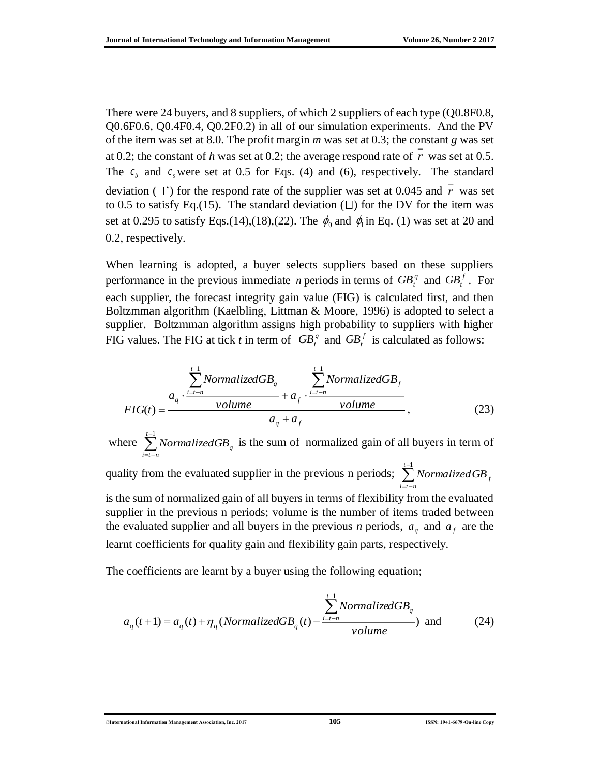There were 24 buyers, and 8 suppliers, of which 2 suppliers of each type (Q0.8F0.8, Q0.6F0.6, Q0.4F0.4, Q0.2F0.2) in all of our simulation experiments. And the PV of the item was set at 8.0. The profit margin *m* was set at 0.3; the constant *g* was set at 0.2; the constant of  $h$  was set at 0.2; the average respond rate of  $r$  was set at 0.5. The  $c<sub>b</sub>$  and  $c<sub>s</sub>$  were set at 0.5 for Eqs. (4) and (6), respectively. The standard deviation  $(\square')$  for the respond rate of the supplier was set at 0.045 and r was set to 0.5 to satisfy Eq.(15). The standard deviation  $(\square)$  for the DV for the item was set at 0.295 to satisfy Eqs.(14),(18),(22). The  $\phi_0$  and  $\phi_1$  in Eq. (1) was set at 20 and 0.2, respectively.

When learning is adopted, a buyer selects suppliers based on these suppliers performance in the previous immediate *n* periods in terms of  $GB_t^q$  and  $GB_t^f$ . For each supplier, the forecast integrity gain value (FIG) is calculated first, and then Boltzmman algorithm (Kaelbling, Littman & Moore, 1996) is adopted to select a supplier. Boltzmman algorithm assigns high probability to suppliers with higher FIG values. The FIG at tick *t* in term of  $GB_t^q$  and  $GB_t^f$  is calculated as follows:

$$
FIG(t) = \frac{a_q \cdot \frac{\sum_{i=t-n}^{t-1} NormalizedGB_q}{volume} + a_f \cdot \frac{\sum_{i=t-n}^{t-1} NormalizedGB_f}{volume}},
$$
(23)

where  $\sum$ *NormalizedGB*<sub>q</sub>  $\sum_{i=1}^{t-1}$  *NormalizedGB<sub>q</sub>* is the sum of normalized gain of all buyers in term of  $i = t - n$  $\iota$  –

quality from the evaluated supplier in the previous n periods;  $\sum$  *Normalized GB<sub>f</sub> t i t <sup>n</sup> NormalizedGB*  $=i-$ 1 is the sum of normalized gain of all buyers in terms of flexibility from the evaluated

supplier in the previous n periods; volume is the number of items traded between the evaluated supplier and all buyers in the previous *n* periods,  $a_q$  and  $a_f$  are the learnt coefficients for quality gain and flexibility gain parts, respectively.

The coefficients are learnt by a buyer using the following equation;

$$
a_q(t+1) = a_q(t) + \eta_q(Normalized GB_q(t) - \frac{\sum_{i=t-n}^{t-1} NormalizedGB_q}{volume})
$$
 and (24)

©**International Information Management Association, Inc. 2017 105 ISSN: 1941-6679-On-line Copy**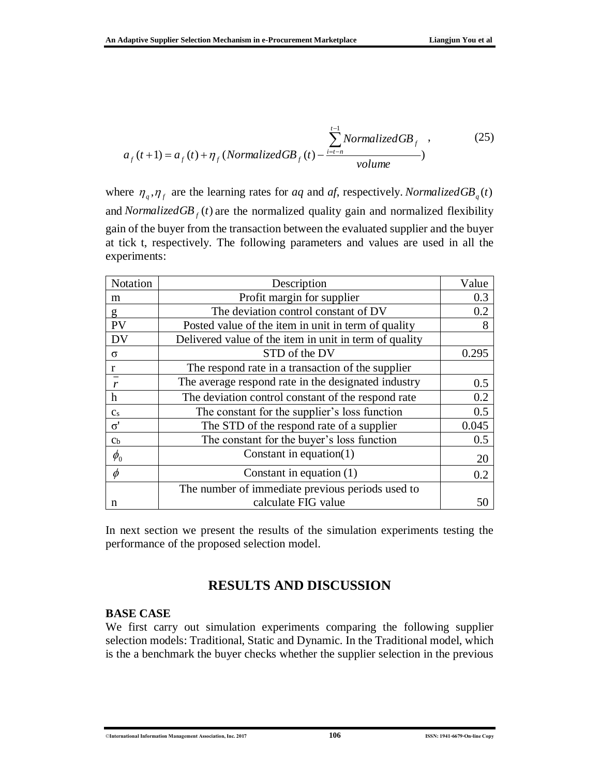$$
a_f(t+1) = a_f(t) + \eta_f \left( NormalizedGB_f(t) - \frac{\sum_{i=t-n}^{t-1} NormalizedGB_f}{volume}\right)
$$
 (25)

where  $\eta_q$ ,  $\eta_f$  are the learning rates for *aq* and *af*, respectively. *Normalized* GB<sub>q</sub>(*t*) and *NormalizedGB*  $_f$  (*t*) are the normalized quality gain and normalized flexibility gain of the buyer from the transaction between the evaluated supplier and the buyer at tick t, respectively. The following parameters and values are used in all the experiments:

| Notation                      | Description                                            | Value |
|-------------------------------|--------------------------------------------------------|-------|
| m                             | Profit margin for supplier                             | 0.3   |
| g                             | The deviation control constant of DV                   | 0.2   |
| PV                            | Posted value of the item in unit in term of quality    | 8     |
| <b>DV</b>                     | Delivered value of the item in unit in term of quality |       |
| $\sigma$                      | STD of the DV                                          | 0.295 |
| r                             | The respond rate in a transaction of the supplier      |       |
|                               | The average respond rate in the designated industry    | 0.5   |
| h                             | The deviation control constant of the respond rate     | 0.2   |
| c <sub>s</sub>                | The constant for the supplier's loss function          | 0.5   |
| $\sigma'$                     | The STD of the respond rate of a supplier              | 0.045 |
| $\mathbf{C}$                  | The constant for the buyer's loss function             | 0.5   |
| $\phi_{\scriptscriptstyle 0}$ | Constant in equation $(1)$                             | 20    |
| $\phi$                        | Constant in equation $(1)$                             | 0.2   |
|                               | The number of immediate previous periods used to       |       |
| n                             | calculate FIG value                                    | 50    |

In next section we present the results of the simulation experiments testing the performance of the proposed selection model.

### **RESULTS AND DISCUSSION**

#### **BASE CASE**

We first carry out simulation experiments comparing the following supplier selection models: Traditional, Static and Dynamic. In the Traditional model, which is the a benchmark the buyer checks whether the supplier selection in the previous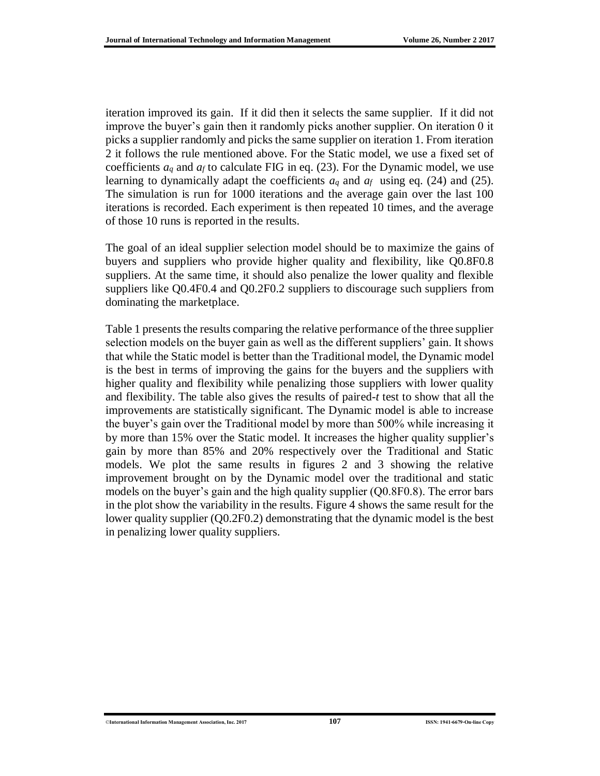iteration improved its gain. If it did then it selects the same supplier. If it did not improve the buyer's gain then it randomly picks another supplier. On iteration 0 it picks a supplier randomly and picks the same supplier on iteration 1. From iteration 2 it follows the rule mentioned above. For the Static model, we use a fixed set of coefficients  $a_q$  and  $a_f$  to calculate FIG in eq. (23). For the Dynamic model, we use learning to dynamically adapt the coefficients *a<sup>q</sup>* and *af* using eq. (24) and (25). The simulation is run for 1000 iterations and the average gain over the last 100 iterations is recorded. Each experiment is then repeated 10 times, and the average of those 10 runs is reported in the results.

The goal of an ideal supplier selection model should be to maximize the gains of buyers and suppliers who provide higher quality and flexibility, like Q0.8F0.8 suppliers. At the same time, it should also penalize the lower quality and flexible suppliers like Q0.4F0.4 and Q0.2F0.2 suppliers to discourage such suppliers from dominating the marketplace.

Table 1 presents the results comparing the relative performance of the three supplier selection models on the buyer gain as well as the different suppliers' gain. It shows that while the Static model is better than the Traditional model, the Dynamic model is the best in terms of improving the gains for the buyers and the suppliers with higher quality and flexibility while penalizing those suppliers with lower quality and flexibility. The table also gives the results of paired-*t* test to show that all the improvements are statistically significant. The Dynamic model is able to increase the buyer's gain over the Traditional model by more than 500% while increasing it by more than 15% over the Static model. It increases the higher quality supplier's gain by more than 85% and 20% respectively over the Traditional and Static models. We plot the same results in figures 2 and 3 showing the relative improvement brought on by the Dynamic model over the traditional and static models on the buyer's gain and the high quality supplier (Q0.8F0.8). The error bars in the plot show the variability in the results. Figure 4 shows the same result for the lower quality supplier (Q0.2F0.2) demonstrating that the dynamic model is the best in penalizing lower quality suppliers.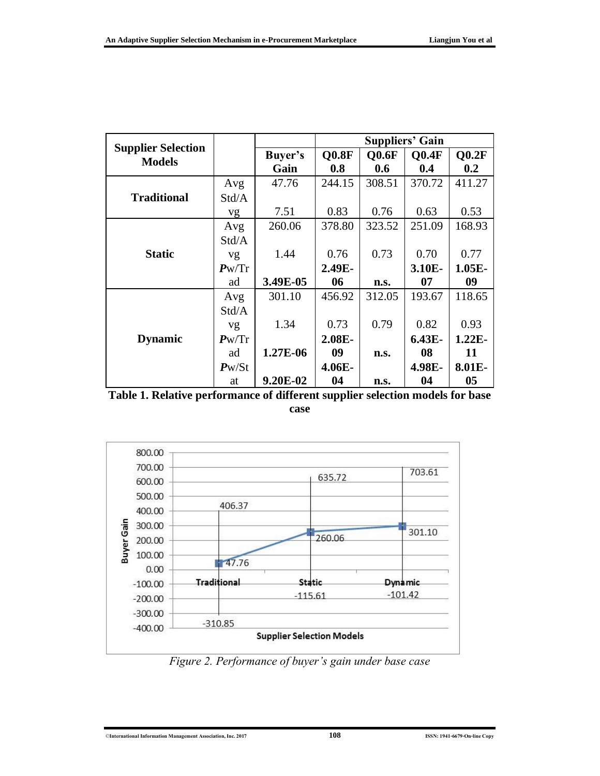|                                            |                |          | <b>Suppliers' Gain</b> |              |              |          |
|--------------------------------------------|----------------|----------|------------------------|--------------|--------------|----------|
| <b>Supplier Selection</b><br><b>Models</b> |                | Buyer's  | <b>Q0.8F</b>           | <b>Q0.6F</b> | <b>Q0.4F</b> | 00.2F    |
|                                            |                | Gain     | 0.8                    | 0.6          | 0.4          | 0.2      |
|                                            | Avg            | 47.76    | 244.15                 | 308.51       | 370.72       | 411.27   |
| <b>Traditional</b>                         | Std/A          |          |                        |              |              |          |
|                                            | vg             | 7.51     | 0.83                   | 0.76         | 0.63         | 0.53     |
|                                            | Avg            | 260.06   | 378.80                 | 323.52       | 251.09       | 168.93   |
|                                            | Std/A          |          |                        |              |              |          |
| <b>Static</b>                              | vg             | 1.44     | 0.76                   | 0.73         | 0.70         | 0.77     |
|                                            | $P_{\rm W}/Tr$ |          | 2.49E-                 |              | 3.10E-       | $1.05E-$ |
|                                            | ad             | 3.49E-05 | 06                     | n.s.         | 07           | 09       |
|                                            | Avg            | 301.10   | 456.92                 | 312.05       | 193.67       | 118.65   |
|                                            | Std/A          |          |                        |              |              |          |
|                                            | vg             | 1.34     | 0.73                   | 0.79         | 0.82         | 0.93     |
| <b>Dynamic</b>                             | Pw/Tr          |          | 2.08E-                 |              | $6.43E-$     | $1.22E-$ |
|                                            | ad             | 1.27E-06 | 09                     | n.s.         | 08           | 11       |
|                                            | $P_{W}/St$     |          | 4.06E-                 |              | 4.98E-       | 8.01E-   |
|                                            | at             | 9.20E-02 | 04                     | n.s.         | 04           | 05       |

**Table 1. Relative performance of different supplier selection models for base case**



*Figure 2. Performance of buyer's gain under base case*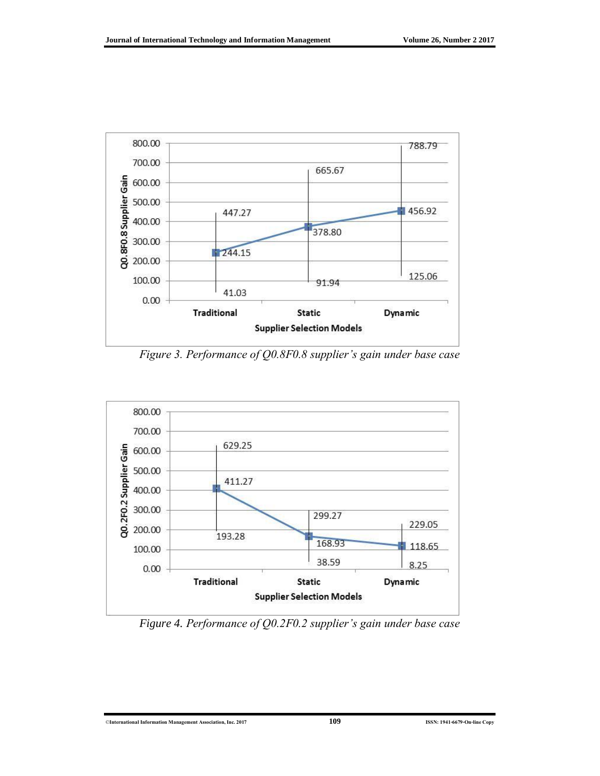

*Figure 3. Performance of Q0.8F0.8 supplier's gain under base case*



*Figure 4. Performance of Q0.2F0.2 supplier's gain under base case*

©**International Information Management Association, Inc. 2017 109 ISSN: 1941-6679-On-line Copy**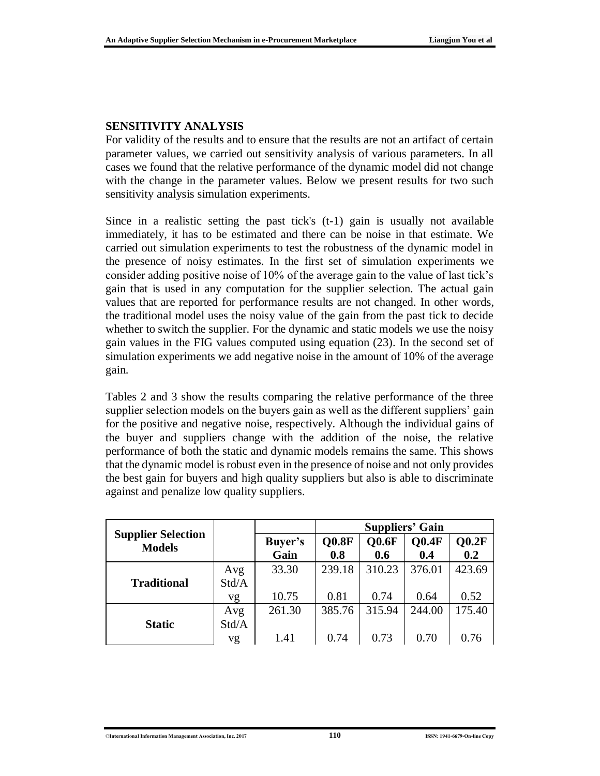#### **SENSITIVITY ANALYSIS**

For validity of the results and to ensure that the results are not an artifact of certain parameter values, we carried out sensitivity analysis of various parameters. In all cases we found that the relative performance of the dynamic model did not change with the change in the parameter values. Below we present results for two such sensitivity analysis simulation experiments.

Since in a realistic setting the past tick's (t-1) gain is usually not available immediately, it has to be estimated and there can be noise in that estimate. We carried out simulation experiments to test the robustness of the dynamic model in the presence of noisy estimates. In the first set of simulation experiments we consider adding positive noise of 10% of the average gain to the value of last tick's gain that is used in any computation for the supplier selection. The actual gain values that are reported for performance results are not changed. In other words, the traditional model uses the noisy value of the gain from the past tick to decide whether to switch the supplier. For the dynamic and static models we use the noisy gain values in the FIG values computed using equation (23). In the second set of simulation experiments we add negative noise in the amount of 10% of the average gain.

Tables 2 and 3 show the results comparing the relative performance of the three supplier selection models on the buyers gain as well as the different suppliers' gain for the positive and negative noise, respectively. Although the individual gains of the buyer and suppliers change with the addition of the noise, the relative performance of both the static and dynamic models remains the same. This shows that the dynamic model is robust even in the presence of noise and not only provides the best gain for buyers and high quality suppliers but also is able to discriminate against and penalize low quality suppliers.

|                                            |       |                 | <b>Suppliers' Gain</b> |              |              |              |
|--------------------------------------------|-------|-----------------|------------------------|--------------|--------------|--------------|
| <b>Supplier Selection</b><br><b>Models</b> |       | Buyer's<br>Gain | Q0.8F<br>0.8           | Q0.6F<br>0.6 | O0.4F<br>0.4 | Q0.2F<br>0.2 |
|                                            | Avg   | 33.30           | 239.18                 | 310.23       | 376.01       | 423.69       |
| <b>Traditional</b>                         | Std/A |                 |                        |              |              |              |
|                                            | vg    | 10.75           | 0.81                   | 0.74         | 0.64         | 0.52         |
|                                            | Avg   | 261.30          | 385.76                 | 315.94       | 244.00       | 175.40       |
| <b>Static</b>                              | Std/A |                 |                        |              |              |              |
|                                            | vg    | 1.41            | 0.74                   | 0.73         | 0.70         | 0.76         |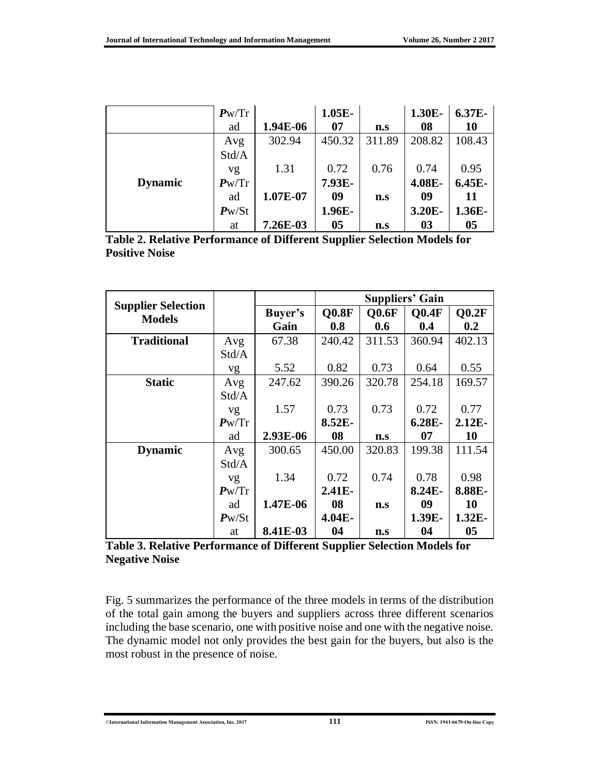|                | Pw/Tr          |          | $1.05E-$ |        | 1.30E- | 6.37E-         |
|----------------|----------------|----------|----------|--------|--------|----------------|
|                | ad             | 1.94E-06 | 07       | n.s    | 08     | 10             |
|                | Avg            | 302.94   | 450.32   | 311.89 | 208.82 | 108.43         |
|                | Std/A          |          |          |        |        |                |
|                | vg             | 1.31     | 0.72     | 0.76   | 0.74   | 0.95           |
| <b>Dynamic</b> | $P_{\rm W}/Tr$ |          | 7.93E-   |        | 4.08E- | $6.45E-$       |
|                | ad             | 1.07E-07 | 09       | n.s    | 09     | <b>11</b>      |
|                | $P_{W}/St$     |          | 1.96E-   |        | 3.20E- | 1.36E-         |
|                | at             | 7.26E-03 | 05       | n.s    | 03     | 0 <sub>5</sub> |

|                       | Table 2. Relative Performance of Different Supplier Selection Models for |  |  |
|-----------------------|--------------------------------------------------------------------------|--|--|
| <b>Positive Noise</b> |                                                                          |  |  |

|                                            |            |          | <b>Suppliers' Gain</b> |                     |        |           |
|--------------------------------------------|------------|----------|------------------------|---------------------|--------|-----------|
| <b>Supplier Selection</b><br><b>Models</b> |            | Buyer's  | <b>Q0.8F</b>           | $O$ <sub>0.6F</sub> | O0.4F  | Q0.2F     |
|                                            |            | Gain     | 0.8                    | 0.6                 | 0.4    | 0.2       |
| <b>Traditional</b>                         | Avg        | 67.38    | 240.42                 | 311.53              | 360.94 | 402.13    |
|                                            | Std/A      |          |                        |                     |        |           |
|                                            | vg         | 5.52     | 0.82                   | 0.73                | 0.64   | 0.55      |
| <b>Static</b>                              | Avg        | 247.62   | 390.26                 | 320.78              | 254.18 | 169.57    |
|                                            | Std/A      |          |                        |                     |        |           |
|                                            | vg         | 1.57     | 0.73                   | 0.73                | 0.72   | 0.77      |
|                                            | Pw/Tr      |          | 8.52E-                 |                     | 6.28E- | $2.12E-$  |
|                                            | ad         | 2.93E-06 | 08                     | n.s                 | 07     | <b>10</b> |
| <b>Dynamic</b>                             | Avg        | 300.65   | 450.00                 | 320.83              | 199.38 | 111.54    |
|                                            | Std/A      |          |                        |                     |        |           |
|                                            | vg         | 1.34     | 0.72                   | 0.74                | 0.78   | 0.98      |
|                                            | Pw/Tr      |          | $2.41E-$               |                     | 8.24E- | 8.88E-    |
|                                            | ad         | 1.47E-06 | 08                     | n.s                 | 09     | <b>10</b> |
|                                            | $P_{W}/St$ |          | 4.04E-                 |                     | 1.39E- | $1.32E-$  |
|                                            | at         | 8.41E-03 | 04                     | n.s                 | 04     | 05        |

**Table 3. Relative Performance of Different Supplier Selection Models for Negative Noise**

Fig. 5 summarizes the performance of the three models in terms of the distribution of the total gain among the buyers and suppliers across three different scenarios including the base scenario, one with positive noise and one with the negative noise. The dynamic model not only provides the best gain for the buyers, but also is the most robust in the presence of noise.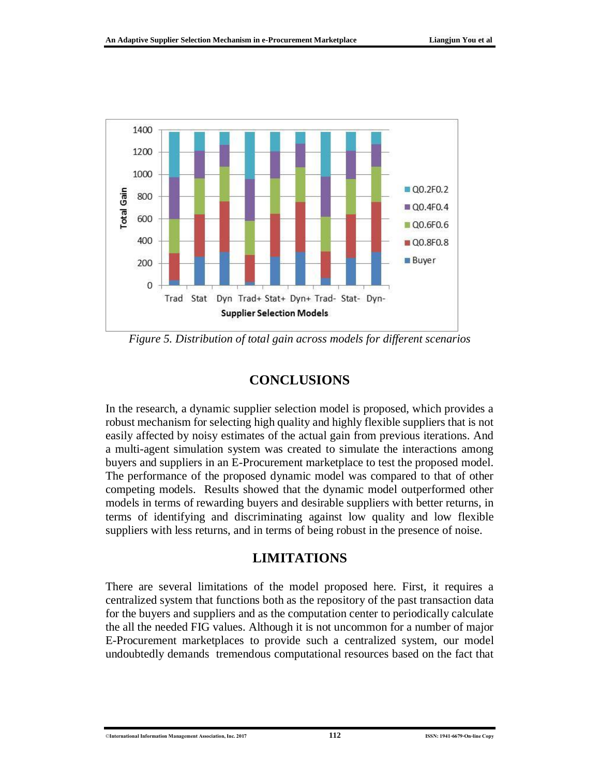

*Figure 5. Distribution of total gain across models for different scenarios*

### **CONCLUSIONS**

In the research, a dynamic supplier selection model is proposed, which provides a robust mechanism for selecting high quality and highly flexible suppliers that is not easily affected by noisy estimates of the actual gain from previous iterations. And a multi-agent simulation system was created to simulate the interactions among buyers and suppliers in an E-Procurement marketplace to test the proposed model. The performance of the proposed dynamic model was compared to that of other competing models. Results showed that the dynamic model outperformed other models in terms of rewarding buyers and desirable suppliers with better returns, in terms of identifying and discriminating against low quality and low flexible suppliers with less returns, and in terms of being robust in the presence of noise.

### **LIMITATIONS**

There are several limitations of the model proposed here. First, it requires a centralized system that functions both as the repository of the past transaction data for the buyers and suppliers and as the computation center to periodically calculate the all the needed FIG values. Although it is not uncommon for a number of major E-Procurement marketplaces to provide such a centralized system, our model undoubtedly demands tremendous computational resources based on the fact that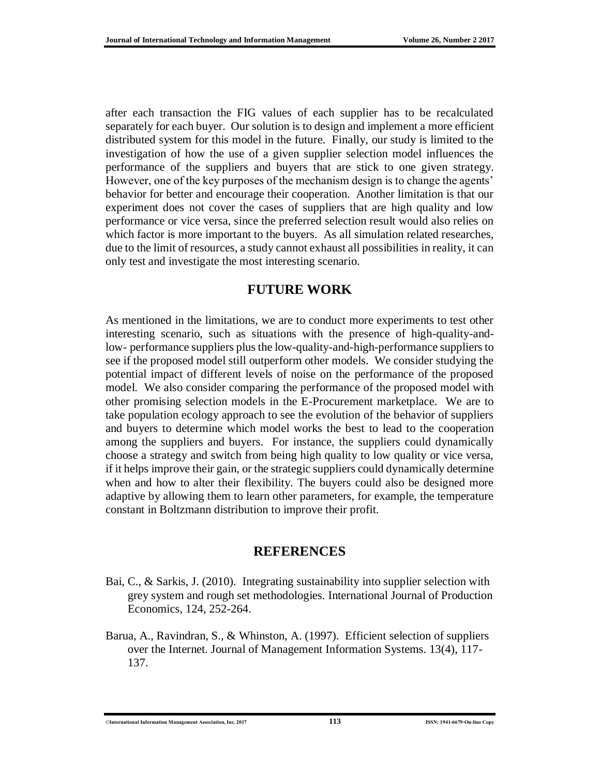after each transaction the FIG values of each supplier has to be recalculated separately for each buyer. Our solution is to design and implement a more efficient distributed system for this model in the future. Finally, our study is limited to the investigation of how the use of a given supplier selection model influences the performance of the suppliers and buyers that are stick to one given strategy. However, one of the key purposes of the mechanism design is to change the agents' behavior for better and encourage their cooperation. Another limitation is that our experiment does not cover the cases of suppliers that are high quality and low performance or vice versa, since the preferred selection result would also relies on which factor is more important to the buyers. As all simulation related researches, due to the limit of resources, a study cannot exhaust all possibilities in reality, it can only test and investigate the most interesting scenario.

## **FUTURE WORK**

As mentioned in the limitations, we are to conduct more experiments to test other interesting scenario, such as situations with the presence of high-quality-andlow- performance suppliers plus the low-quality-and-high-performance suppliers to see if the proposed model still outperform other models. We consider studying the potential impact of different levels of noise on the performance of the proposed model. We also consider comparing the performance of the proposed model with other promising selection models in the E-Procurement marketplace. We are to take population ecology approach to see the evolution of the behavior of suppliers and buyers to determine which model works the best to lead to the cooperation among the suppliers and buyers. For instance, the suppliers could dynamically choose a strategy and switch from being high quality to low quality or vice versa, if it helps improve their gain, or the strategic suppliers could dynamically determine when and how to alter their flexibility. The buyers could also be designed more adaptive by allowing them to learn other parameters, for example, the temperature constant in Boltzmann distribution to improve their profit.

### **REFERENCES**

- Bai, C., & Sarkis, J. (2010). Integrating sustainability into supplier selection with grey system and rough set methodologies. International Journal of Production Economics, 124, 252-264.
- Barua, A., Ravindran, S., & Whinston, A. (1997). Efficient selection of suppliers over the Internet. Journal of Management Information Systems. 13(4), 117- 137.

©**International Information Management Association, Inc. 2017 113 ISSN: 1941-6679-On-line Copy**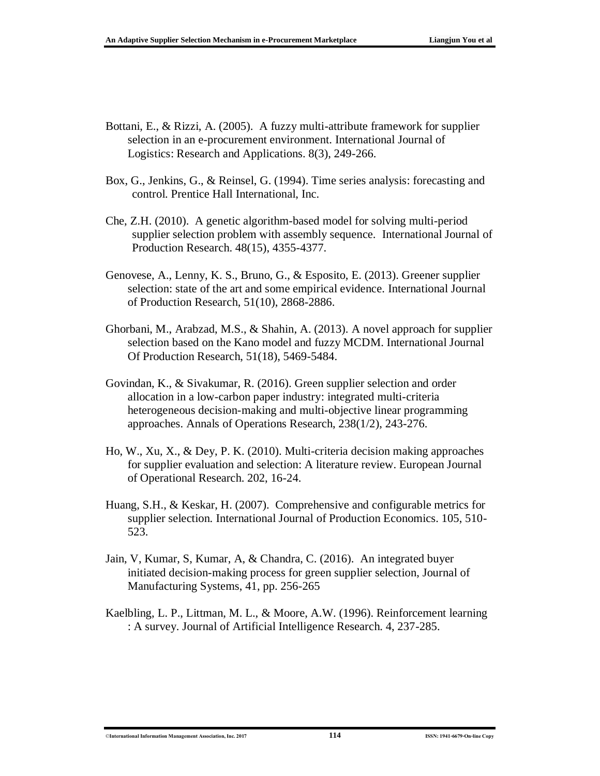- Bottani, E., & Rizzi, A. (2005). A fuzzy multi-attribute framework for supplier selection in an e-procurement environment. International Journal of Logistics: Research and Applications. 8(3), 249-266.
- Box, G., Jenkins, G., & Reinsel, G. (1994). Time series analysis: forecasting and control. Prentice Hall International, Inc.
- Che, Z.H. (2010). A genetic algorithm-based model for solving multi-period supplier selection problem with assembly sequence. International Journal of Production Research. 48(15), 4355-4377.
- Genovese, A., Lenny, K. S., Bruno, G., & Esposito, E. (2013). Greener supplier selection: state of the art and some empirical evidence. International Journal of Production Research, 51(10), 2868-2886.
- Ghorbani, M., Arabzad, M.S., & Shahin, A. (2013). A novel approach for supplier selection based on the Kano model and fuzzy MCDM. International Journal Of Production Research, 51(18), 5469-5484.
- Govindan, K., & Sivakumar, R. (2016). Green supplier selection and order allocation in a low-carbon paper industry: integrated multi-criteria heterogeneous decision-making and multi-objective linear programming approaches. Annals of Operations Research, 238(1/2), 243-276.
- Ho, W., Xu, X., & Dey, P. K. (2010). Multi-criteria decision making approaches for supplier evaluation and selection: A literature review. European Journal of Operational Research. 202, 16-24.
- Huang, S.H., & Keskar, H. (2007). Comprehensive and configurable metrics for supplier selection. International Journal of Production Economics. 105, 510- 523.
- Jain, V, Kumar, S, Kumar, A, & Chandra, C. (2016). An integrated buyer initiated decision-making process for green supplier selection, Journal of Manufacturing Systems, 41, pp. 256-265
- Kaelbling, L. P., Littman, M. L., & Moore, A.W. (1996). Reinforcement learning : A survey. Journal of Artificial Intelligence Research. 4, 237-285.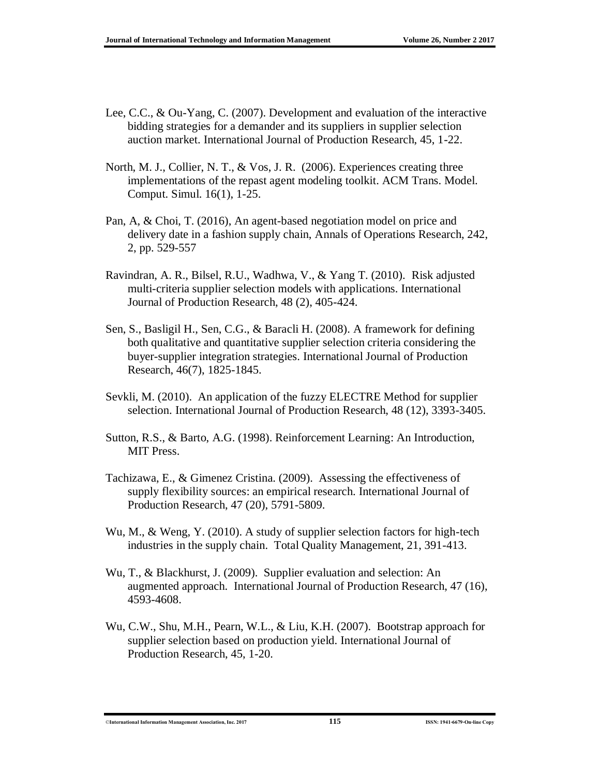- Lee, C.C., & Ou-Yang, C. (2007). Development and evaluation of the interactive bidding strategies for a demander and its suppliers in supplier selection auction market. International Journal of Production Research, 45, 1-22.
- North, M. J., Collier, N. T., & Vos, J. R. (2006). Experiences creating three implementations of the repast agent modeling toolkit. ACM Trans. Model. Comput. Simul. 16(1), 1-25.
- Pan, A, & Choi, T. (2016), An agent-based negotiation model on price and delivery date in a fashion supply chain, Annals of Operations Research, 242, 2, pp. 529-557
- Ravindran, A. R., Bilsel, R.U., Wadhwa, V., & Yang T. (2010). Risk adjusted multi-criteria supplier selection models with applications. International Journal of Production Research, 48 (2), 405-424.
- Sen, S., Basligil H., Sen, C.G., & Baracli H. (2008). A framework for defining both qualitative and quantitative supplier selection criteria considering the buyer-supplier integration strategies. International Journal of Production Research, 46(7), 1825-1845.
- Sevkli, M. (2010). An application of the fuzzy ELECTRE Method for supplier selection. International Journal of Production Research, 48 (12), 3393-3405.
- Sutton, R.S., & Barto, A.G. (1998). Reinforcement Learning: An Introduction, MIT Press.
- Tachizawa, E., & Gimenez Cristina. (2009). Assessing the effectiveness of supply flexibility sources: an empirical research. International Journal of Production Research, 47 (20), 5791-5809.
- Wu, M., & Weng, Y. (2010). A study of supplier selection factors for high-tech industries in the supply chain. Total Quality Management, 21, 391-413.
- Wu, T., & Blackhurst, J. (2009). Supplier evaluation and selection: An augmented approach. International Journal of Production Research, 47 (16), 4593-4608.
- Wu, C.W., Shu, M.H., Pearn, W.L., & Liu, K.H. (2007). Bootstrap approach for supplier selection based on production yield. International Journal of Production Research, 45, 1-20.

<sup>©</sup>**International Information Management Association, Inc. 2017 115 ISSN: 1941-6679-On-line Copy**